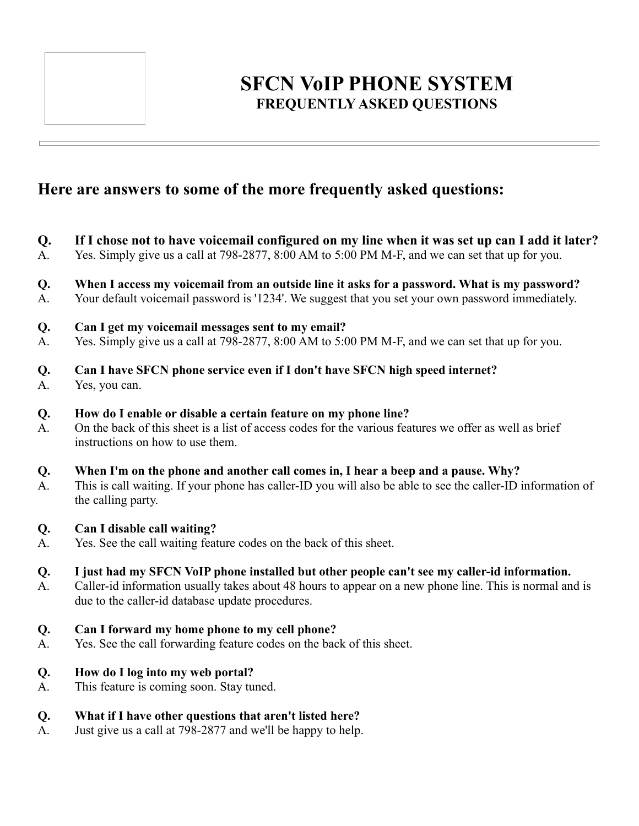

# **SFCN VoIP PHONE SYSTEM FREQUENTLY ASKED QUESTIONS**

## **Here are answers to some of the more frequently asked questions:**

- **Q. If I chose not to have voicemail configured on my line when it was set up can I add it later?**
- A. Yes. Simply give us a call at 798-2877, 8:00 AM to 5:00 PM M-F, and we can set that up for you.
- **Q. When I access my voicemail from an outside line it asks for a password. What is my password?**
- A. Your default voicemail password is '1234'. We suggest that you set your own password immediately.
- **Q. Can I get my voicemail messages sent to my email?**
- A. Yes. Simply give us a call at 798-2877, 8:00 AM to 5:00 PM M-F, and we can set that up for you.
- **Q. Can I have SFCN phone service even if I don't have SFCN high speed internet?**
- A. Yes, you can.
- **Q. How do I enable or disable a certain feature on my phone line?**
- A. On the back of this sheet is a list of access codes for the various features we offer as well as brief instructions on how to use them.
- **Q. When I'm on the phone and another call comes in, I hear a beep and a pause. Why?**
- A. This is call waiting. If your phone has caller-ID you will also be able to see the caller-ID information of the calling party.

### **Q. Can I disable call waiting?**

- A. Yes. See the call waiting feature codes on the back of this sheet.
- **Q. I just had my SFCN VoIP phone installed but other people can't see my caller-id information.**
- A. Caller-id information usually takes about 48 hours to appear on a new phone line. This is normal and is due to the caller-id database update procedures.
- **Q. Can I forward my home phone to my cell phone?**
- A. Yes. See the call forwarding feature codes on the back of this sheet.

### **Q. How do I log into my web portal?**

- A. This feature is coming soon. Stay tuned.
- **Q. What if I have other questions that aren't listed here?**
- A. Just give us a call at 798-2877 and we'll be happy to help.